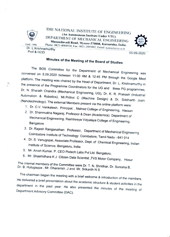

Estd: 1946

THE NATIONAL INSTITUTE OF ENGINEERING (An Autonomous DEPARTMENT OF MECHANICAL ENGINE Manandavadi Road, Mysore-570008, Karnataka, India. OF MECHANICAL ENGINEERING Phone: 0821-4004930, Fax: 0821-2485802, Email: hodmech@nie.ac.in



Dr. L.Krishnamurthy Prof & HOD 05-09-2020

## Minutes of the Meeting of the Board of Studies

The BOS Committee for the Department of Mechanical Engineering was<br>
convened on 5.09.2020 between 11:00 AM & 12:45 PM through the Google Meet<br>
platform. The meeting was chaired by the Head of Department, Dr. L. Krishnamurt

- 
- 
- 
- 3. Dr. Rajesh Ranganathan Professor, Department of Mechanical Engineering<br>Coimbatore Institute of Technology Coimbatore, Tamil Nadu 641 014<br>4. Dr. S. Venugopal, Associate Professor, Dept. of Chemical Engineering, Indian<br>
- 
- 6. Mr. Shashidhara KJ Citizen Data Scientist, TVS Motor Company, Hosur

Dr. The B. internal members of the Committee were Dr. T. N. Shridhar, Dr. Suresha B,<br>}. Hulugappa , Mr. Dharanish .J and Mr. Srikanth N S Hulugappa, Mr.

The chairman began the meeting with a brief welcome & introduction of the members. He delivered a brief presentation about the academic structure & student activities in the department in the past year. He also presented the minutes of the meeting of Department Advisory Committee (DAC).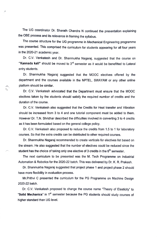The UG coordinator Dr. Sharath Chandra N continued the presentation explaining the OBE process and its relevance in framing the syllabus.

The course structure for the UG programme in Mechanical Engineering programme was presented. This comprised the curiculum for students appearing for all four years in the 2020-21 academic year.

Dr. C.V. Venkatesh and Dr. Shanmukha Nagaraj, suggested that the course on "Kannada kali" should be moved to  $3<sup>rd</sup>$  semester as it would be benefitted to Lateral entry students.

Dr. Shanmukha Nagaraj suggested that the MOOC electives offered by the department and the courses available in the NPTEL, SWAYAM or any other online platform should be similar.

Dr. C.V. Venkatesh advocated that the Department must ensure that the MOOC electives taken by the students should satisty the required number of credits and the duration of the course.

Dr. C.V. Venkatesh also suggested that the Credits for Heat transfer and Vibration should be increased from 3 to 4 and one tutorial component must be added to them. However Dr. T.N. Shridhar described the difficulties involved in converting 3 to 4 credits as it has been formulated based on the general college policy.

Dr. C.V. Venkatesh also proposed to reduce the credits from 1.5 to 1 for laboratory courses. So that the extra credits can be distributed to other required courses.

Dr. Shanmukha Nagaraj recommended to create verticals for electives list based on the stream. He also suggested that the number of electives could be reduced since the student has the choice of taking only one elective of 3 credits in the  $6<sup>th</sup>$  semester.

The next curriculum to be presented was the M. Tech Programme on Industrial Automation & Robotics for the 2020-22 batch. This was delivered by Dr. K. R. Prakash.

Dr. Shanmukha Nagaraj suggested that project phase 1 and project phase 2 should have more flexibility in evaluation process.

Mr.Prithvi C presented the curriculum for the PG Programme on Machine Design 2020-22 batch.

Dr. C.V. Venkatesh proposed to change the course name "Theory of Elasticity" to "Solid Mechanics" in  $1<sup>st</sup>$  semester because the PG students should study courses of higher standard than UG level.